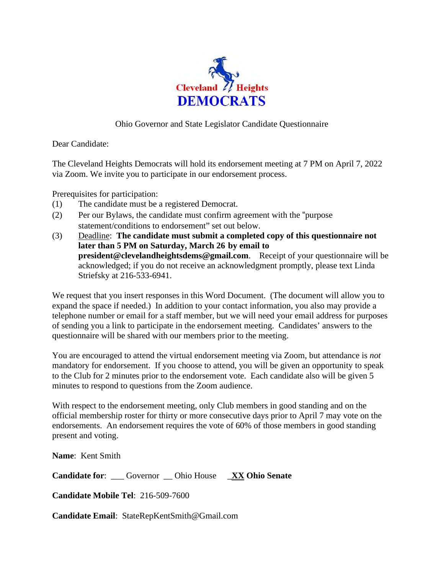

## Ohio Governor and State Legislator Candidate Questionnaire

Dear Candidate:

The Cleveland Heights Democrats will hold its endorsement meeting at 7 PM on April 7, 2022 via Zoom. We invite you to participate in our endorsement process.

Prerequisites for participation:

- (1) The candidate must be a registered Democrat.
- (2) Per our Bylaws, the candidate must confirm agreement with the "purpose statement/conditions to endorsement" set out below.
- (3) Deadline: **The candidate must submit a completed copy of this questionnaire not later than 5 PM on Saturday, March 26 by email to president@clevelandheightsdems@gmail.com**. Receipt of your questionnaire will be acknowledged; if you do not receive an acknowledgment promptly, please text Linda Striefsky at 216-533-6941.

We request that you insert responses in this Word Document. (The document will allow you to expand the space if needed.) In addition to your contact information, you also may provide a telephone number or email for a staff member, but we will need your email address for purposes of sending you a link to participate in the endorsement meeting. Candidates' answers to the questionnaire will be shared with our members prior to the meeting.

You are encouraged to attend the virtual endorsement meeting via Zoom, but attendance is *not*  mandatory for endorsement. If you choose to attend, you will be given an opportunity to speak to the Club for 2 minutes prior to the endorsement vote. Each candidate also will be given 5 minutes to respond to questions from the Zoom audience.

With respect to the endorsement meeting, only Club members in good standing and on the official membership roster for thirty or more consecutive days prior to April 7 may vote on the endorsements. An endorsement requires the vote of 60% of those members in good standing present and voting.

**Name**: Kent Smith

**Candidate for**: \_\_\_ Governor \_\_ Ohio House \_**XX Ohio Senate**

**Candidate Mobile Tel**: 216-509-7600

**Candidate Email**: StateRepKentSmith@Gmail.com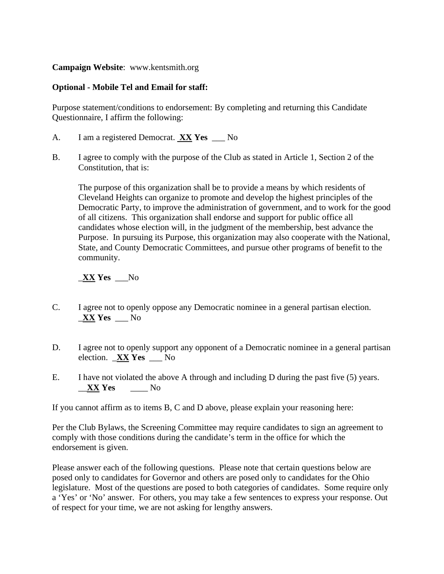**Campaign Website**: www.kentsmith.org

## **Optional - Mobile Tel and Email for staff:**

Purpose statement/conditions to endorsement: By completing and returning this Candidate Questionnaire, I affirm the following:

- A. I am a registered Democrat. **XX Yes** \_\_\_ No
- B. I agree to comply with the purpose of the Club as stated in Article 1, Section 2 of the Constitution, that is:

The purpose of this organization shall be to provide a means by which residents of Cleveland Heights can organize to promote and develop the highest principles of the Democratic Party, to improve the administration of government, and to work for the good of all citizens. This organization shall endorse and support for public office all candidates whose election will, in the judgment of the membership, best advance the Purpose. In pursuing its Purpose, this organization may also cooperate with the National, State, and County Democratic Committees, and pursue other programs of benefit to the community.

## \_**XX Yes** \_\_\_No

- C. I agree not to openly oppose any Democratic nominee in a general partisan election. \_**XX Yes** \_\_\_ No
- D. I agree not to openly support any opponent of a Democratic nominee in a general partisan election. \_**XX Yes** \_\_\_ No
- E. I have not violated the above A through and including D during the past five (5) years. \_\_**XX Yes** \_\_\_\_ No

If you cannot affirm as to items B, C and D above, please explain your reasoning here:

Per the Club Bylaws, the Screening Committee may require candidates to sign an agreement to comply with those conditions during the candidate's term in the office for which the endorsement is given.

Please answer each of the following questions. Please note that certain questions below are posed only to candidates for Governor and others are posed only to candidates for the Ohio legislature. Most of the questions are posed to both categories of candidates. Some require only a 'Yes' or 'No' answer. For others, you may take a few sentences to express your response. Out of respect for your time, we are not asking for lengthy answers.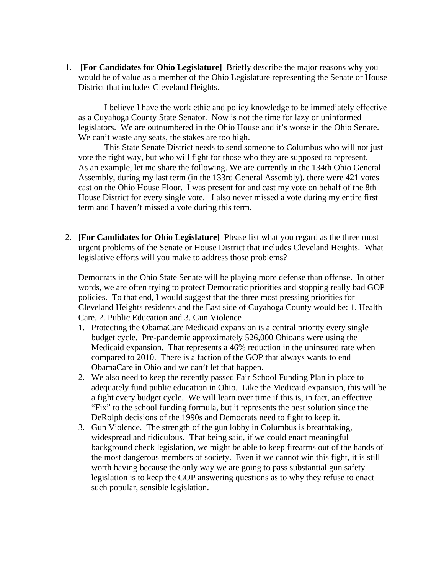1. **[For Candidates for Ohio Legislature]** Briefly describe the major reasons why you would be of value as a member of the Ohio Legislature representing the Senate or House District that includes Cleveland Heights.

I believe I have the work ethic and policy knowledge to be immediately effective as a Cuyahoga County State Senator. Now is not the time for lazy or uninformed legislators. We are outnumbered in the Ohio House and it's worse in the Ohio Senate. We can't waste any seats, the stakes are too high.

This State Senate District needs to send someone to Columbus who will not just vote the right way, but who will fight for those who they are supposed to represent. As an example, let me share the following. We are currently in the 134th Ohio General Assembly, during my last term (in the 133rd General Assembly), there were 421 votes cast on the Ohio House Floor. I was present for and cast my vote on behalf of the 8th House District for every single vote. I also never missed a vote during my entire first term and I haven't missed a vote during this term.

2. **[For Candidates for Ohio Legislature]** Please list what you regard as the three most urgent problems of the Senate or House District that includes Cleveland Heights. What legislative efforts will you make to address those problems?

Democrats in the Ohio State Senate will be playing more defense than offense. In other words, we are often trying to protect Democratic priorities and stopping really bad GOP policies. To that end, I would suggest that the three most pressing priorities for Cleveland Heights residents and the East side of Cuyahoga County would be: 1. Health Care, 2. Public Education and 3. Gun Violence

- 1. Protecting the ObamaCare Medicaid expansion is a central priority every single budget cycle. Pre-pandemic approximately 526,000 Ohioans were using the Medicaid expansion. That represents a 46% reduction in the uninsured rate when compared to 2010. There is a faction of the GOP that always wants to end ObamaCare in Ohio and we can't let that happen.
- 2. We also need to keep the recently passed Fair School Funding Plan in place to adequately fund public education in Ohio. Like the Medicaid expansion, this will be a fight every budget cycle. We will learn over time if this is, in fact, an effective "Fix" to the school funding formula, but it represents the best solution since the DeRolph decisions of the 1990s and Democrats need to fight to keep it.
- 3. Gun Violence. The strength of the gun lobby in Columbus is breathtaking, widespread and ridiculous. That being said, if we could enact meaningful background check legislation, we might be able to keep firearms out of the hands of the most dangerous members of society. Even if we cannot win this fight, it is still worth having because the only way we are going to pass substantial gun safety legislation is to keep the GOP answering questions as to why they refuse to enact such popular, sensible legislation.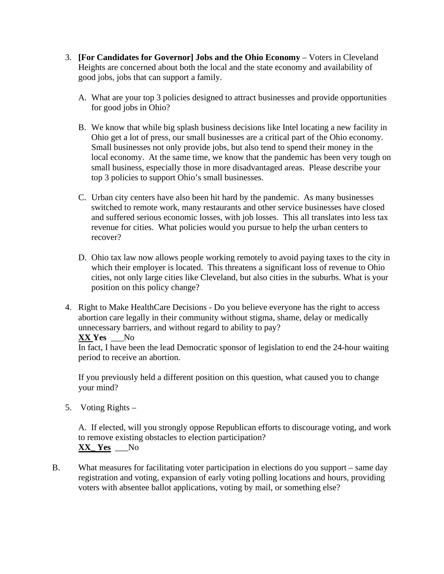- 3. **[For Candidates for Governor] Jobs and the Ohio Economy** Voters in Cleveland Heights are concerned about both the local and the state economy and availability of good jobs, jobs that can support a family.
	- A. What are your top 3 policies designed to attract businesses and provide opportunities for good jobs in Ohio?
	- B. We know that while big splash business decisions like Intel locating a new facility in Ohio get a lot of press, our small businesses are a critical part of the Ohio economy. Small businesses not only provide jobs, but also tend to spend their money in the local economy. At the same time, we know that the pandemic has been very tough on small business, especially those in more disadvantaged areas. Please describe your top 3 policies to support Ohio's small businesses.
	- C. Urban city centers have also been hit hard by the pandemic. As many businesses switched to remote work, many restaurants and other service businesses have closed and suffered serious economic losses, with job losses. This all translates into less tax revenue for cities. What policies would you pursue to help the urban centers to recover?
	- D. Ohio tax law now allows people working remotely to avoid paying taxes to the city in which their employer is located. This threatens a significant loss of revenue to Ohio cities, not only large cities like Cleveland, but also cities in the suburbs. What is your position on this policy change?
- 4. Right to Make HealthCare Decisions Do you believe everyone has the right to access abortion care legally in their community without stigma, shame, delay or medically unnecessary barriers, and without regard to ability to pay?

## **XX Yes** \_\_\_No

In fact, I have been the lead Democratic sponsor of legislation to end the 24-hour waiting period to receive an abortion.

If you previously held a different position on this question, what caused you to change your mind?

5. Voting Rights –

A. If elected, will you strongly oppose Republican efforts to discourage voting, and work to remove existing obstacles to election participation? **XX\_ Yes** \_\_\_No

B. What measures for facilitating voter participation in elections do you support – same day registration and voting, expansion of early voting polling locations and hours, providing voters with absentee ballot applications, voting by mail, or something else?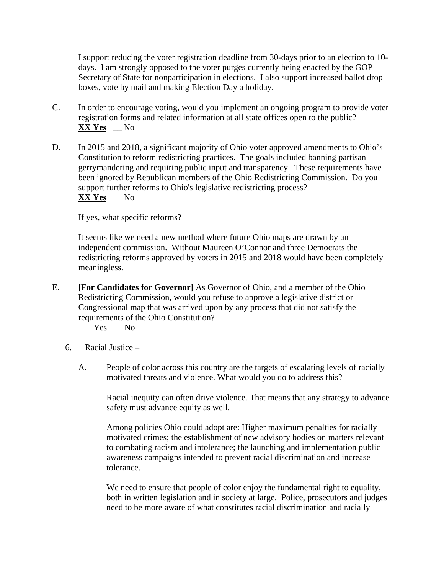I support reducing the voter registration deadline from 30-days prior to an election to 10 days. I am strongly opposed to the voter purges currently being enacted by the GOP Secretary of State for nonparticipation in elections. I also support increased ballot drop boxes, vote by mail and making Election Day a holiday.

- C. In order to encourage voting, would you implement an ongoing program to provide voter registration forms and related information at all state offices open to the public? **XX Yes** \_\_ No
- D. In 2015 and 2018, a significant majority of Ohio voter approved amendments to Ohio's Constitution to reform redistricting practices. The goals included banning partisan gerrymandering and requiring public input and transparency. These requirements have been ignored by Republican members of the Ohio Redistricting Commission. Do you support further reforms to Ohio's legislative redistricting process? **XX Yes** \_\_\_No

If yes, what specific reforms?

It seems like we need a new method where future Ohio maps are drawn by an independent commission. Without Maureen O'Connor and three Democrats the redistricting reforms approved by voters in 2015 and 2018 would have been completely meaningless.

E. **[For Candidates for Governor]** As Governor of Ohio, and a member of the Ohio Redistricting Commission, would you refuse to approve a legislative district or Congressional map that was arrived upon by any process that did not satisfy the requirements of the Ohio Constitution?

 $Yes$  No

- 6. Racial Justice
	- A. People of color across this country are the targets of escalating levels of racially motivated threats and violence. What would you do to address this?

Racial inequity can often drive violence. That means that any strategy to advance safety must advance equity as well.

Among policies Ohio could adopt are: Higher maximum penalties for racially motivated crimes; the establishment of new advisory bodies on matters relevant to combating racism and intolerance; the launching and implementation public awareness campaigns intended to prevent racial discrimination and increase tolerance.

We need to ensure that people of color enjoy the fundamental right to equality, both in written legislation and in society at large. Police, prosecutors and judges need to be more aware of what constitutes racial discrimination and racially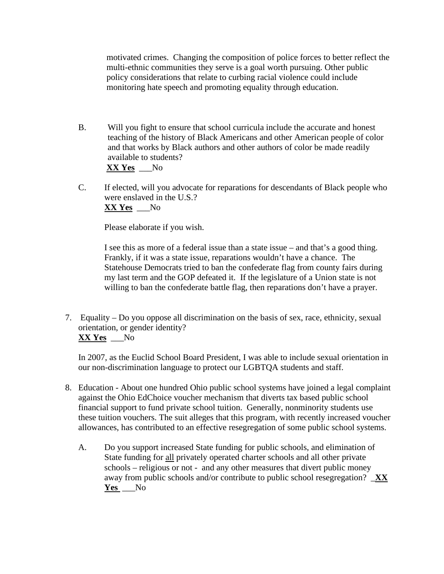motivated crimes. Changing the composition of police forces to better reflect the multi-ethnic communities they serve is a goal worth pursuing. Other public policy considerations that relate to curbing racial violence could include monitoring hate speech and promoting equality through education.

- B. Will you fight to ensure that school curricula include the accurate and honest teaching of the history of Black Americans and other American people of color and that works by Black authors and other authors of color be made readily available to students? **XX Yes** \_\_\_No
- C. If elected, will you advocate for reparations for descendants of Black people who were enslaved in the U.S.? **XX Yes** \_\_\_No

Please elaborate if you wish.

I see this as more of a federal issue than a state issue – and that's a good thing. Frankly, if it was a state issue, reparations wouldn't have a chance. The Statehouse Democrats tried to ban the confederate flag from county fairs during my last term and the GOP defeated it. If the legislature of a Union state is not willing to ban the confederate battle flag, then reparations don't have a prayer.

7. Equality – Do you oppose all discrimination on the basis of sex, race, ethnicity, sexual orientation, or gender identity? **XX Yes** \_\_\_No

In 2007, as the Euclid School Board President, I was able to include sexual orientation in our non-discrimination language to protect our LGBTQA students and staff.

- 8. Education About one hundred Ohio public school systems have joined a legal complaint against the Ohio EdChoice voucher mechanism that diverts tax based public school financial support to fund private school tuition. Generally, nonminority students use these tuition vouchers. The suit alleges that this program, with recently increased voucher allowances, has contributed to an effective resegregation of some public school systems.
	- A. Do you support increased State funding for public schools, and elimination of State funding for all privately operated charter schools and all other private schools – religious or not - and any other measures that divert public money away from public schools and/or contribute to public school resegregation? \_**XX Yes** \_\_\_No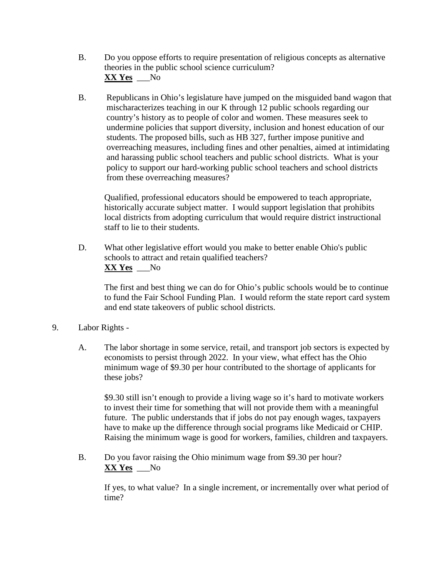- B. Do you oppose efforts to require presentation of religious concepts as alternative theories in the public school science curriculum? **XX Yes** \_\_\_No
- B. Republicans in Ohio's legislature have jumped on the misguided band wagon that mischaracterizes teaching in our K through 12 public schools regarding our country's history as to people of color and women. These measures seek to undermine policies that support diversity, inclusion and honest education of our students. The proposed bills, such as HB 327, further impose punitive and overreaching measures, including fines and other penalties, aimed at intimidating and harassing public school teachers and public school districts. What is your policy to support our hard-working public school teachers and school districts from these overreaching measures?

Qualified, professional educators should be empowered to teach appropriate, historically accurate subject matter. I would support legislation that prohibits local districts from adopting curriculum that would require district instructional staff to lie to their students.

D. What other legislative effort would you make to better enable Ohio's public schools to attract and retain qualified teachers? **XX Yes** \_\_\_No

The first and best thing we can do for Ohio's public schools would be to continue to fund the Fair School Funding Plan. I would reform the state report card system and end state takeovers of public school districts.

- 9. Labor Rights
	- A. The labor shortage in some service, retail, and transport job sectors is expected by economists to persist through 2022. In your view, what effect has the Ohio minimum wage of \$9.30 per hour contributed to the shortage of applicants for these jobs?

\$9.30 still isn't enough to provide a living wage so it's hard to motivate workers to invest their time for something that will not provide them with a meaningful future. The public understands that if jobs do not pay enough wages, taxpayers have to make up the difference through social programs like Medicaid or CHIP. Raising the minimum wage is good for workers, families, children and taxpayers.

B. Do you favor raising the Ohio minimum wage from \$9.30 per hour? **XX Yes** \_\_\_No

If yes, to what value? In a single increment, or incrementally over what period of time?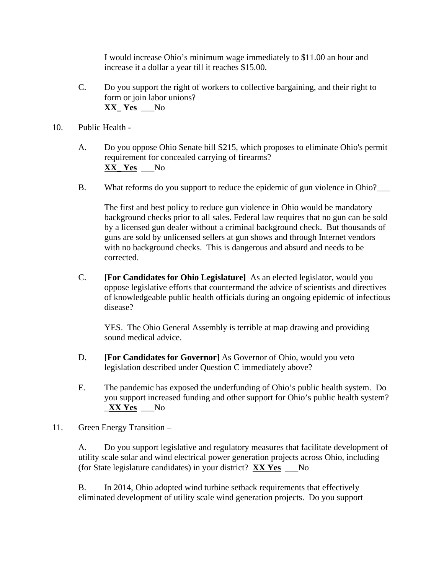I would increase Ohio's minimum wage immediately to \$11.00 an hour and increase it a dollar a year till it reaches \$15.00.

- C. Do you support the right of workers to collective bargaining, and their right to form or join labor unions? **XX\_ Yes** \_\_\_No
- 10. Public Health
	- A. Do you oppose Ohio Senate bill S215, which proposes to eliminate Ohio's permit requirement for concealed carrying of firearms? **XX\_ Yes** \_\_\_No
	- B. What reforms do you support to reduce the epidemic of gun violence in Ohio?

The first and best policy to reduce gun violence in Ohio would be mandatory background checks prior to all sales. Federal law requires that no gun can be sold by a licensed gun dealer without a criminal background check. But thousands of guns are sold by unlicensed sellers at gun shows and through Internet vendors with no background checks. This is dangerous and absurd and needs to be corrected.

C. **[For Candidates for Ohio Legislature]** As an elected legislator, would you oppose legislative efforts that countermand the advice of scientists and directives of knowledgeable public health officials during an ongoing epidemic of infectious disease?

YES. The Ohio General Assembly is terrible at map drawing and providing sound medical advice.

- D. **[For Candidates for Governor]** As Governor of Ohio, would you veto legislation described under Question C immediately above?
- E. The pandemic has exposed the underfunding of Ohio's public health system. Do you support increased funding and other support for Ohio's public health system? \_**XX Yes** \_\_\_No
- 11. Green Energy Transition –

A. Do you support legislative and regulatory measures that facilitate development of utility scale solar and wind electrical power generation projects across Ohio, including (for State legislature candidates) in your district? **XX Yes** \_\_\_No

B. In 2014, Ohio adopted wind turbine setback requirements that effectively eliminated development of utility scale wind generation projects. Do you support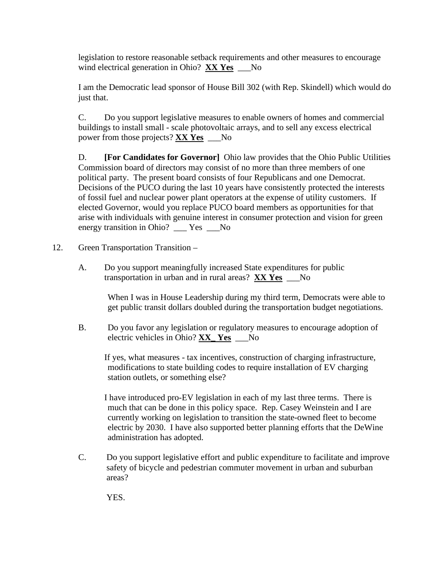legislation to restore reasonable setback requirements and other measures to encourage wind electrical generation in Ohio? **XX Yes** \_\_\_No

I am the Democratic lead sponsor of House Bill 302 (with Rep. Skindell) which would do just that.

C. Do you support legislative measures to enable owners of homes and commercial buildings to install small - scale photovoltaic arrays, and to sell any excess electrical power from those projects? **XX Yes** \_\_\_No

D. **[For Candidates for Governor]** Ohio law provides that the Ohio Public Utilities Commission board of directors may consist of no more than three members of one political party. The present board consists of four Republicans and one Democrat. Decisions of the PUCO during the last 10 years have consistently protected the interests of fossil fuel and nuclear power plant operators at the expense of utility customers. If elected Governor, would you replace PUCO board members as opportunities for that arise with individuals with genuine interest in consumer protection and vision for green energy transition in Ohio? \_\_\_ Yes \_\_\_No

- 12. Green Transportation Transition
	- A. Do you support meaningfully increased State expenditures for public transportation in urban and in rural areas? **XX Yes** \_\_\_No

When I was in House Leadership during my third term, Democrats were able to get public transit dollars doubled during the transportation budget negotiations.

B. Do you favor any legislation or regulatory measures to encourage adoption of electric vehicles in Ohio? **XX\_ Yes** \_\_\_No

If yes, what measures - tax incentives, construction of charging infrastructure, modifications to state building codes to require installation of EV charging station outlets, or something else?

I have introduced pro-EV legislation in each of my last three terms. There is much that can be done in this policy space. Rep. Casey Weinstein and I are currently working on legislation to transition the state-owned fleet to become electric by 2030. I have also supported better planning efforts that the DeWine administration has adopted.

C. Do you support legislative effort and public expenditure to facilitate and improve safety of bicycle and pedestrian commuter movement in urban and suburban areas?

YES.